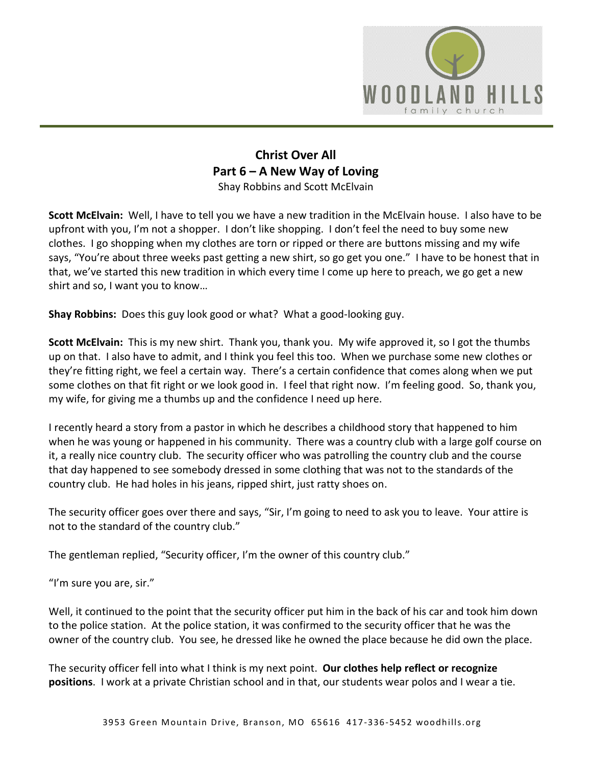

## **Christ Over All Part 6 – A New Way of Loving** Shay Robbins and Scott McElvain

**Scott McElvain:** Well, I have to tell you we have a new tradition in the McElvain house. I also have to be upfront with you, I'm not a shopper. I don't like shopping. I don't feel the need to buy some new clothes. I go shopping when my clothes are torn or ripped or there are buttons missing and my wife says, "You're about three weeks past getting a new shirt, so go get you one." I have to be honest that in that, we've started this new tradition in which every time I come up here to preach, we go get a new shirt and so, I want you to know…

**Shay Robbins:** Does this guy look good or what? What a good-looking guy.

**Scott McElvain:** This is my new shirt. Thank you, thank you. My wife approved it, so I got the thumbs up on that. I also have to admit, and I think you feel this too. When we purchase some new clothes or they're fitting right, we feel a certain way. There's a certain confidence that comes along when we put some clothes on that fit right or we look good in. I feel that right now. I'm feeling good. So, thank you, my wife, for giving me a thumbs up and the confidence I need up here.

I recently heard a story from a pastor in which he describes a childhood story that happened to him when he was young or happened in his community. There was a country club with a large golf course on it, a really nice country club. The security officer who was patrolling the country club and the course that day happened to see somebody dressed in some clothing that was not to the standards of the country club. He had holes in his jeans, ripped shirt, just ratty shoes on.

The security officer goes over there and says, "Sir, I'm going to need to ask you to leave. Your attire is not to the standard of the country club."

The gentleman replied, "Security officer, I'm the owner of this country club."

"I'm sure you are, sir."

Well, it continued to the point that the security officer put him in the back of his car and took him down to the police station. At the police station, it was confirmed to the security officer that he was the owner of the country club. You see, he dressed like he owned the place because he did own the place.

The security officer fell into what I think is my next point. **Our clothes help reflect or recognize positions**. I work at a private Christian school and in that, our students wear polos and I wear a tie.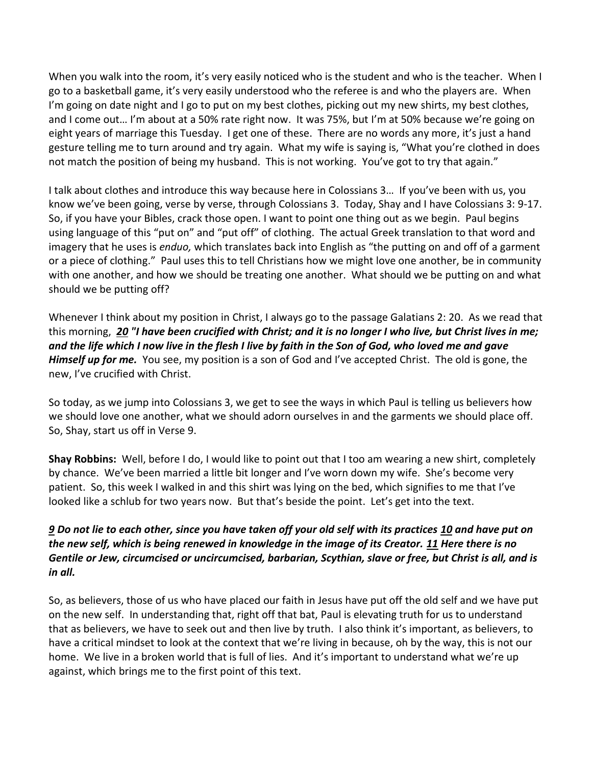When you walk into the room, it's very easily noticed who is the student and who is the teacher. When I go to a basketball game, it's very easily understood who the referee is and who the players are. When I'm going on date night and I go to put on my best clothes, picking out my new shirts, my best clothes, and I come out… I'm about at a 50% rate right now. It was 75%, but I'm at 50% because we're going on eight years of marriage this Tuesday. I get one of these. There are no words any more, it's just a hand gesture telling me to turn around and try again. What my wife is saying is, "What you're clothed in does not match the position of being my husband. This is not working. You've got to try that again."

I talk about clothes and introduce this way because here in Colossians 3… If you've been with us, you know we've been going, verse by verse, through Colossians 3. Today, Shay and I have Colossians 3: 9-17. So, if you have your Bibles, crack those open. I want to point one thing out as we begin. Paul begins using language of this "put on" and "put off" of clothing. The actual Greek translation to that word and imagery that he uses is *enduo,* which translates back into English as "the putting on and off of a garment or a piece of clothing." Paul uses this to tell Christians how we might love one another, be in community with one another, and how we should be treating one another. What should we be putting on and what should we be putting off?

Whenever I think about my position in Christ, I always go to the passage Galatians 2: 20. As we read that this morning, *[20](https://www.studylight.org/desk/?q=ga%202:20&t1=en_nas&sr=1) "I have been crucified with Christ; and it is no longer I who live, but Christ lives in me; and the life which I now live in the flesh I live by faith in the Son of God, who loved me and gave Himself up for me.* You see, my position is a son of God and I've accepted Christ. The old is gone, the new, I've crucified with Christ.

So today, as we jump into Colossians 3, we get to see the ways in which Paul is telling us believers how we should love one another, what we should adorn ourselves in and the garments we should place off. So, Shay, start us off in Verse 9.

**Shay Robbins:** Well, before I do, I would like to point out that I too am wearing a new shirt, completely by chance. We've been married a little bit longer and I've worn down my wife. She's become very patient. So, this week I walked in and this shirt was lying on the bed, which signifies to me that I've looked like a schlub for two years now. But that's beside the point. Let's get into the text.

## *[9](https://www.studylight.org/desk/?q=col%203:9&t1=en_niv&sr=1) Do not lie to each other, since you have taken off your old self with its practices [10](https://www.studylight.org/desk/?q=col%203:10&t1=en_niv&sr=1) and have put on the new self, which is being renewed in knowledge in the image of its Creator. [11](https://www.studylight.org/desk/?q=col%203:11&t1=en_niv&sr=1) Here there is no Gentile or Jew, circumcised or uncircumcised, barbarian, Scythian, slave or free, but Christ is all, and is in all.*

So, as believers, those of us who have placed our faith in Jesus have put off the old self and we have put on the new self. In understanding that, right off that bat, Paul is elevating truth for us to understand that as believers, we have to seek out and then live by truth. I also think it's important, as believers, to have a critical mindset to look at the context that we're living in because, oh by the way, this is not our home. We live in a broken world that is full of lies. And it's important to understand what we're up against, which brings me to the first point of this text.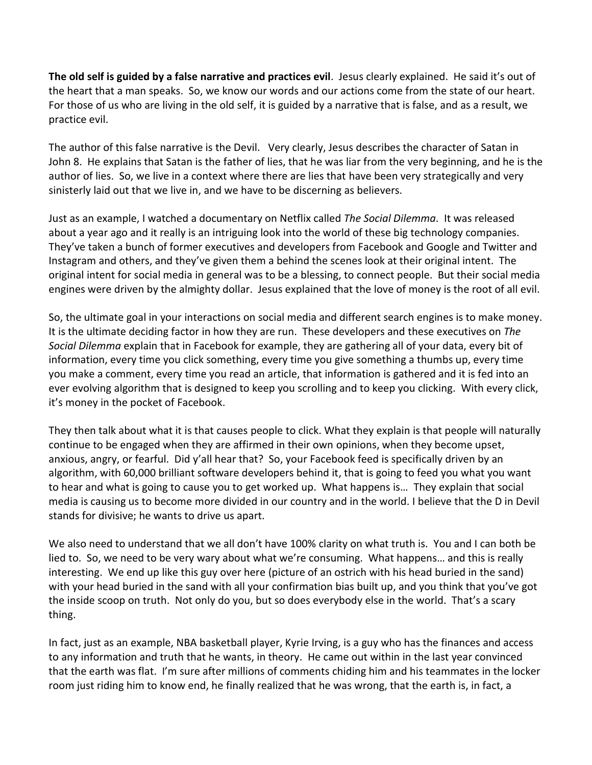**The old self is guided by a false narrative and practices evil**. Jesus clearly explained. He said it's out of the heart that a man speaks. So, we know our words and our actions come from the state of our heart. For those of us who are living in the old self, it is guided by a narrative that is false, and as a result, we practice evil.

The author of this false narrative is the Devil. Very clearly, Jesus describes the character of Satan in John 8. He explains that Satan is the father of lies, that he was liar from the very beginning, and he is the author of lies. So, we live in a context where there are lies that have been very strategically and very sinisterly laid out that we live in, and we have to be discerning as believers.

Just as an example, I watched a documentary on Netflix called *The Social Dilemma*. It was released about a year ago and it really is an intriguing look into the world of these big technology companies. They've taken a bunch of former executives and developers from Facebook and Google and Twitter and Instagram and others, and they've given them a behind the scenes look at their original intent. The original intent for social media in general was to be a blessing, to connect people. But their social media engines were driven by the almighty dollar. Jesus explained that the love of money is the root of all evil.

So, the ultimate goal in your interactions on social media and different search engines is to make money. It is the ultimate deciding factor in how they are run. These developers and these executives on *The Social Dilemma* explain that in Facebook for example, they are gathering all of your data, every bit of information, every time you click something, every time you give something a thumbs up, every time you make a comment, every time you read an article, that information is gathered and it is fed into an ever evolving algorithm that is designed to keep you scrolling and to keep you clicking. With every click, it's money in the pocket of Facebook.

They then talk about what it is that causes people to click. What they explain is that people will naturally continue to be engaged when they are affirmed in their own opinions, when they become upset, anxious, angry, or fearful. Did y'all hear that? So, your Facebook feed is specifically driven by an algorithm, with 60,000 brilliant software developers behind it, that is going to feed you what you want to hear and what is going to cause you to get worked up. What happens is… They explain that social media is causing us to become more divided in our country and in the world. I believe that the D in Devil stands for divisive; he wants to drive us apart.

We also need to understand that we all don't have 100% clarity on what truth is. You and I can both be lied to. So, we need to be very wary about what we're consuming. What happens… and this is really interesting. We end up like this guy over here (picture of an ostrich with his head buried in the sand) with your head buried in the sand with all your confirmation bias built up, and you think that you've got the inside scoop on truth. Not only do you, but so does everybody else in the world. That's a scary thing.

In fact, just as an example, NBA basketball player, Kyrie Irving, is a guy who has the finances and access to any information and truth that he wants, in theory. He came out within in the last year convinced that the earth was flat. I'm sure after millions of comments chiding him and his teammates in the locker room just riding him to know end, he finally realized that he was wrong, that the earth is, in fact, a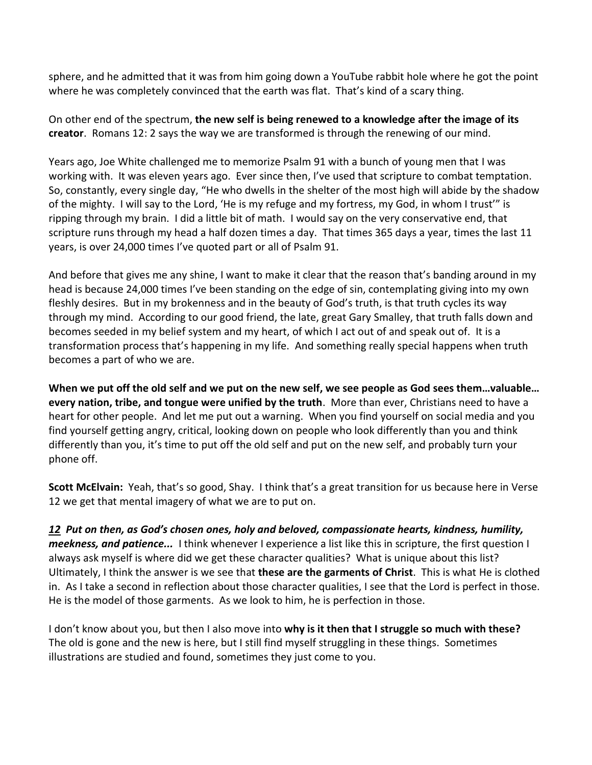sphere, and he admitted that it was from him going down a YouTube rabbit hole where he got the point where he was completely convinced that the earth was flat. That's kind of a scary thing.

On other end of the spectrum, **the new self is being renewed to a knowledge after the image of its creator**. Romans 12: 2 says the way we are transformed is through the renewing of our mind.

Years ago, Joe White challenged me to memorize Psalm 91 with a bunch of young men that I was working with. It was eleven years ago. Ever since then, I've used that scripture to combat temptation. So, constantly, every single day, "He who dwells in the shelter of the most high will abide by the shadow of the mighty. I will say to the Lord, 'He is my refuge and my fortress, my God, in whom I trust'" is ripping through my brain. I did a little bit of math. I would say on the very conservative end, that scripture runs through my head a half dozen times a day. That times 365 days a year, times the last 11 years, is over 24,000 times I've quoted part or all of Psalm 91.

And before that gives me any shine, I want to make it clear that the reason that's banding around in my head is because 24,000 times I've been standing on the edge of sin, contemplating giving into my own fleshly desires. But in my brokenness and in the beauty of God's truth, is that truth cycles its way through my mind. According to our good friend, the late, great Gary Smalley, that truth falls down and becomes seeded in my belief system and my heart, of which I act out of and speak out of. It is a transformation process that's happening in my life. And something really special happens when truth becomes a part of who we are.

**When we put off the old self and we put on the new self, we see people as God sees them…valuable… every nation, tribe, and tongue were unified by the truth**. More than ever, Christians need to have a heart for other people. And let me put out a warning. When you find yourself on social media and you find yourself getting angry, critical, looking down on people who look differently than you and think differently than you, it's time to put off the old self and put on the new self, and probably turn your phone off.

**Scott McElvain:** Yeah, that's so good, Shay. I think that's a great transition for us because here in Verse 12 we get that mental imagery of what we are to put on.

*[12](https://www.studylight.org/desk/?q=col%203:12&t1=en_esv&sr=1) Put on then, as God's chosen ones, holy and beloved, compassionate hearts, kindness, humility, meekness, and patience...* I think whenever I experience a list like this in scripture, the first question I always ask myself is where did we get these character qualities? What is unique about this list? Ultimately, I think the answer is we see that **these are the garments of Christ**. This is what He is clothed in. As I take a second in reflection about those character qualities, I see that the Lord is perfect in those. He is the model of those garments. As we look to him, he is perfection in those.

I don't know about you, but then I also move into **why is it then that I struggle so much with these?** The old is gone and the new is here, but I still find myself struggling in these things. Sometimes illustrations are studied and found, sometimes they just come to you.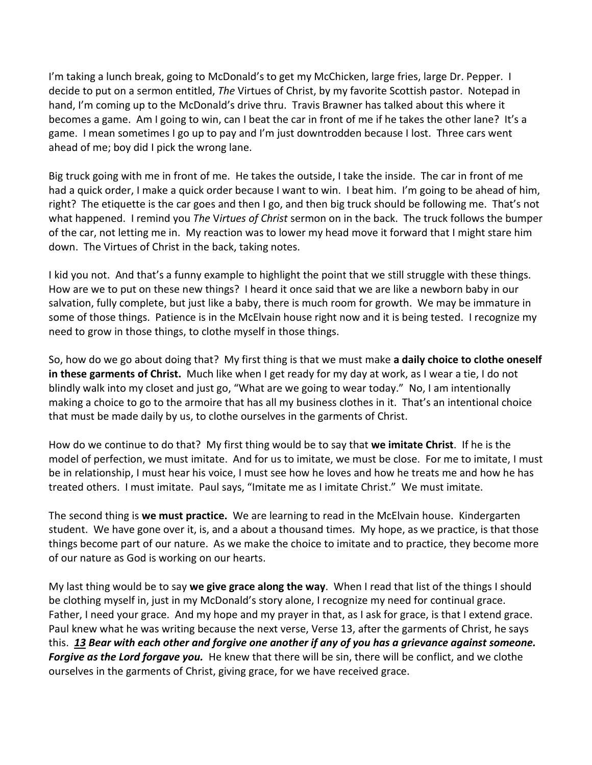I'm taking a lunch break, going to McDonald's to get my McChicken, large fries, large Dr. Pepper. I decide to put on a sermon entitled, *The* Virtues of Christ, by my favorite Scottish pastor. Notepad in hand, I'm coming up to the McDonald's drive thru. Travis Brawner has talked about this where it becomes a game. Am I going to win, can I beat the car in front of me if he takes the other lane? It's a game. I mean sometimes I go up to pay and I'm just downtrodden because I lost. Three cars went ahead of me; boy did I pick the wrong lane.

Big truck going with me in front of me. He takes the outside, I take the inside. The car in front of me had a quick order, I make a quick order because I want to win. I beat him. I'm going to be ahead of him, right? The etiquette is the car goes and then I go, and then big truck should be following me. That's not what happened. I remind you *The* V*irtues of Christ* sermon on in the back. The truck follows the bumper of the car, not letting me in. My reaction was to lower my head move it forward that I might stare him down. The Virtues of Christ in the back, taking notes.

I kid you not. And that's a funny example to highlight the point that we still struggle with these things. How are we to put on these new things? I heard it once said that we are like a newborn baby in our salvation, fully complete, but just like a baby, there is much room for growth. We may be immature in some of those things. Patience is in the McElvain house right now and it is being tested. I recognize my need to grow in those things, to clothe myself in those things.

So, how do we go about doing that? My first thing is that we must make **a daily choice to clothe oneself in these garments of Christ.** Much like when I get ready for my day at work, as I wear a tie, I do not blindly walk into my closet and just go, "What are we going to wear today." No, I am intentionally making a choice to go to the armoire that has all my business clothes in it. That's an intentional choice that must be made daily by us, to clothe ourselves in the garments of Christ.

How do we continue to do that? My first thing would be to say that **we imitate Christ**. If he is the model of perfection, we must imitate. And for us to imitate, we must be close. For me to imitate, I must be in relationship, I must hear his voice, I must see how he loves and how he treats me and how he has treated others. I must imitate. Paul says, "Imitate me as I imitate Christ." We must imitate.

The second thing is **we must practice.** We are learning to read in the McElvain house. Kindergarten student. We have gone over it, is, and a about a thousand times. My hope, as we practice, is that those things become part of our nature. As we make the choice to imitate and to practice, they become more of our nature as God is working on our hearts.

My last thing would be to say **we give grace along the way**. When I read that list of the things I should be clothing myself in, just in my McDonald's story alone, I recognize my need for continual grace. Father, I need your grace. And my hope and my prayer in that, as I ask for grace, is that I extend grace. Paul knew what he was writing because the next verse, Verse 13, after the garments of Christ, he says this. *[13](https://www.studylight.org/desk/?q=col%203:13&t1=en_niv&sr=1) Bear with each other and forgive one another if any of you has a grievance against someone. Forgive as the Lord forgave you.* He knew that there will be sin, there will be conflict, and we clothe ourselves in the garments of Christ, giving grace, for we have received grace.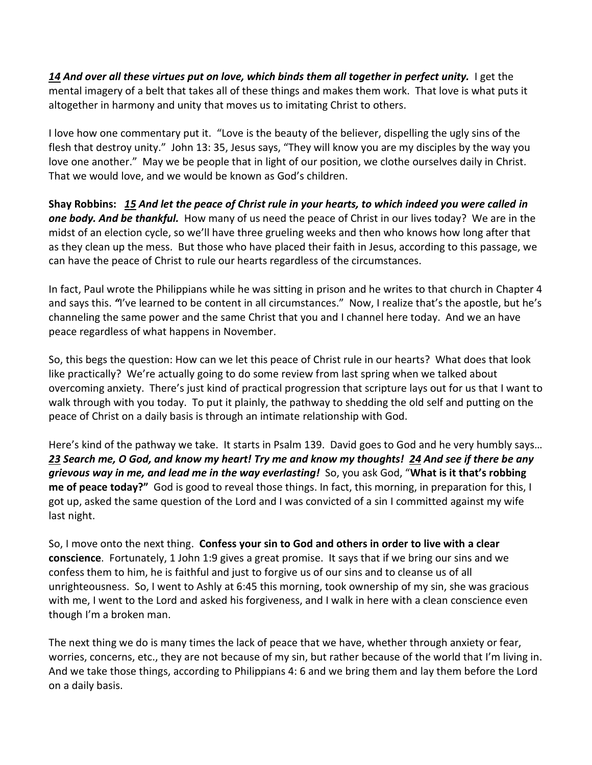*[14](https://www.studylight.org/desk/?q=col%203:14&t1=en_niv&sr=1) And over all these virtues put on love, which binds them all together in perfect unity.* I get the mental imagery of a belt that takes all of these things and makes them work. That love is what puts it altogether in harmony and unity that moves us to imitating Christ to others.

I love how one commentary put it. "Love is the beauty of the believer, dispelling the ugly sins of the flesh that destroy unity." John 13: 35, Jesus says, "They will know you are my disciples by the way you love one another." May we be people that in light of our position, we clothe ourselves daily in Christ. That we would love, and we would be known as God's children.

**Shay Robbins:** *[15](https://www.studylight.org/desk/?q=col%203:15&t1=en_esv&sr=1) And let the peace of Christ rule in your hearts, to which indeed you were called in one body. And be thankful.* How many of us need the peace of Christ in our lives today? We are in the midst of an election cycle, so we'll have three grueling weeks and then who knows how long after that as they clean up the mess. But those who have placed their faith in Jesus, according to this passage, we can have the peace of Christ to rule our hearts regardless of the circumstances.

In fact, Paul wrote the Philippians while he was sitting in prison and he writes to that church in Chapter 4 and says this. *"*I've learned to be content in all circumstances." Now, I realize that's the apostle, but he's channeling the same power and the same Christ that you and I channel here today. And we an have peace regardless of what happens in November.

So, this begs the question: How can we let this peace of Christ rule in our hearts? What does that look like practically? We're actually going to do some review from last spring when we talked about overcoming anxiety. There's just kind of practical progression that scripture lays out for us that I want to walk through with you today. To put it plainly, the pathway to shedding the old self and putting on the peace of Christ on a daily basis is through an intimate relationship with God.

Here's kind of the pathway we take. It starts in Psalm 139. David goes to God and he very humbly says… *[23](https://www.studylight.org/desk/?q=ps%20139:23&t1=en_esv&sr=1) Search me, O God, and know my heart! Try me and know my thoughts! [24](https://www.studylight.org/desk/?q=ps%20139:24&t1=en_esv&sr=1) And see if there be any grievous way in me, and lead me in the way everlasting!* So, you ask God, "**What is it that's robbing me of peace today?"** God is good to reveal those things. In fact, this morning, in preparation for this, I got up, asked the same question of the Lord and I was convicted of a sin I committed against my wife last night.

So, I move onto the next thing. **Confess your sin to God and others in order to live with a clear conscience**. Fortunately, 1 John 1:9 gives a great promise. It says that if we bring our sins and we confess them to him, he is faithful and just to forgive us of our sins and to cleanse us of all unrighteousness. So, I went to Ashly at 6:45 this morning, took ownership of my sin, she was gracious with me, I went to the Lord and asked his forgiveness, and I walk in here with a clean conscience even though I'm a broken man.

The next thing we do is many times the lack of peace that we have, whether through anxiety or fear, worries, concerns, etc., they are not because of my sin, but rather because of the world that I'm living in. And we take those things, according to Philippians 4: 6 and we bring them and lay them before the Lord on a daily basis.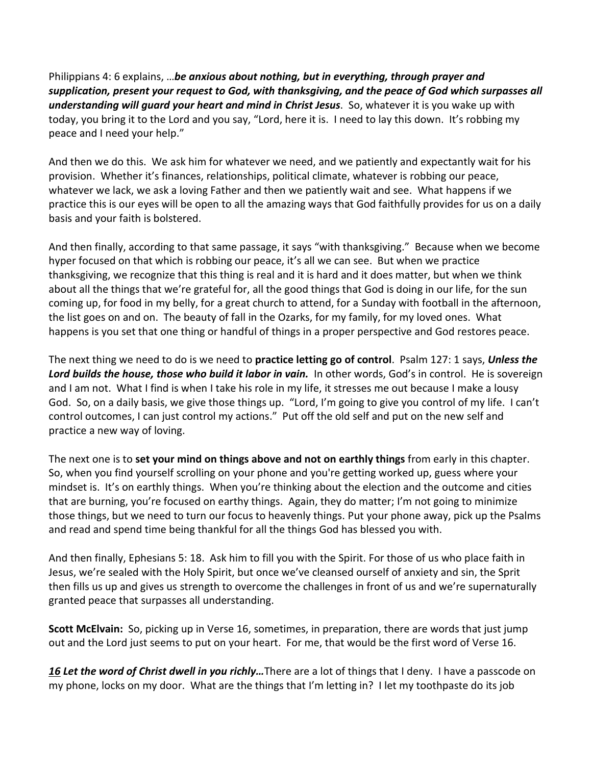Philippians 4: 6 explains, …*be anxious about nothing, but in everything, through prayer and supplication, present your request to God, with thanksgiving, and the peace of God which surpasses all understanding will guard your heart and mind in Christ Jesus*. So, whatever it is you wake up with today, you bring it to the Lord and you say, "Lord, here it is. I need to lay this down. It's robbing my peace and I need your help."

And then we do this. We ask him for whatever we need, and we patiently and expectantly wait for his provision. Whether it's finances, relationships, political climate, whatever is robbing our peace, whatever we lack, we ask a loving Father and then we patiently wait and see. What happens if we practice this is our eyes will be open to all the amazing ways that God faithfully provides for us on a daily basis and your faith is bolstered.

And then finally, according to that same passage, it says "with thanksgiving." Because when we become hyper focused on that which is robbing our peace, it's all we can see. But when we practice thanksgiving, we recognize that this thing is real and it is hard and it does matter, but when we think about all the things that we're grateful for, all the good things that God is doing in our life, for the sun coming up, for food in my belly, for a great church to attend, for a Sunday with football in the afternoon, the list goes on and on. The beauty of fall in the Ozarks, for my family, for my loved ones. What happens is you set that one thing or handful of things in a proper perspective and God restores peace.

The next thing we need to do is we need to **practice letting go of control**. Psalm 127: 1 says, *Unless the*  Lord builds the house, those who build it labor in vain. In other words, God's in control. He is sovereign and I am not. What I find is when I take his role in my life, it stresses me out because I make a lousy God. So, on a daily basis, we give those things up. "Lord, I'm going to give you control of my life. I can't control outcomes, I can just control my actions." Put off the old self and put on the new self and practice a new way of loving.

The next one is to **set your mind on things above and not on earthly things** from early in this chapter. So, when you find yourself scrolling on your phone and you're getting worked up, guess where your mindset is. It's on earthly things. When you're thinking about the election and the outcome and cities that are burning, you're focused on earthy things. Again, they do matter; I'm not going to minimize those things, but we need to turn our focus to heavenly things. Put your phone away, pick up the Psalms and read and spend time being thankful for all the things God has blessed you with.

And then finally, Ephesians 5: 18. Ask him to fill you with the Spirit. For those of us who place faith in Jesus, we're sealed with the Holy Spirit, but once we've cleansed ourself of anxiety and sin, the Sprit then fills us up and gives us strength to overcome the challenges in front of us and we're supernaturally granted peace that surpasses all understanding.

**Scott McElvain:** So, picking up in Verse 16, sometimes, in preparation, there are words that just jump out and the Lord just seems to put on your heart. For me, that would be the first word of Verse 16.

*[16](https://www.studylight.org/desk/?q=col%203:16&t1=en_esv&sr=1) Let the word of Christ dwell in you richly…*There are a lot of things that I deny. I have a passcode on my phone, locks on my door. What are the things that I'm letting in? I let my toothpaste do its job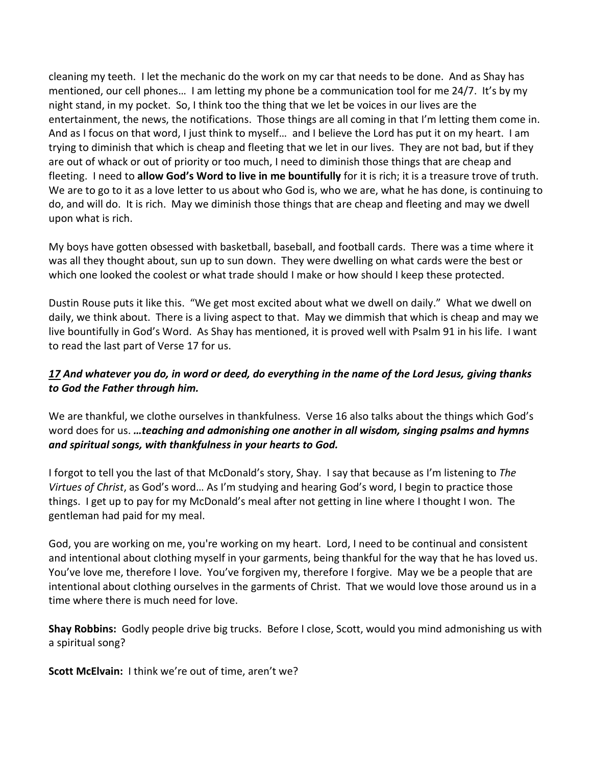cleaning my teeth. I let the mechanic do the work on my car that needs to be done. And as Shay has mentioned, our cell phones… I am letting my phone be a communication tool for me 24/7. It's by my night stand, in my pocket. So, I think too the thing that we let be voices in our lives are the entertainment, the news, the notifications. Those things are all coming in that I'm letting them come in. And as I focus on that word, I just think to myself… and I believe the Lord has put it on my heart. I am trying to diminish that which is cheap and fleeting that we let in our lives. They are not bad, but if they are out of whack or out of priority or too much, I need to diminish those things that are cheap and fleeting. I need to **allow God's Word to live in me bountifully** for it is rich; it is a treasure trove of truth. We are to go to it as a love letter to us about who God is, who we are, what he has done, is continuing to do, and will do. It is rich. May we diminish those things that are cheap and fleeting and may we dwell upon what is rich.

My boys have gotten obsessed with basketball, baseball, and football cards. There was a time where it was all they thought about, sun up to sun down. They were dwelling on what cards were the best or which one looked the coolest or what trade should I make or how should I keep these protected.

Dustin Rouse puts it like this. "We get most excited about what we dwell on daily." What we dwell on daily, we think about. There is a living aspect to that. May we dimmish that which is cheap and may we live bountifully in God's Word. As Shay has mentioned, it is proved well with Psalm 91 in his life. I want to read the last part of Verse 17 for us.

## *[17](https://www.studylight.org/desk/?q=col%203:17&t1=en_esv&sr=1) And whatever you do, in word or deed, do everything in the name of the Lord Jesus, giving thanks to God the Father through him.*

We are thankful, we clothe ourselves in thankfulness. Verse 16 also talks about the things which God's word does for us. *…teaching and admonishing one another in all wisdom, singing psalms and hymns and spiritual songs, with thankfulness in your hearts to God.*

I forgot to tell you the last of that McDonald's story, Shay. I say that because as I'm listening to *The Virtues of Christ*, as God's word… As I'm studying and hearing God's word, I begin to practice those things. I get up to pay for my McDonald's meal after not getting in line where I thought I won. The gentleman had paid for my meal.

God, you are working on me, you're working on my heart. Lord, I need to be continual and consistent and intentional about clothing myself in your garments, being thankful for the way that he has loved us. You've love me, therefore I love. You've forgiven my, therefore I forgive. May we be a people that are intentional about clothing ourselves in the garments of Christ. That we would love those around us in a time where there is much need for love.

**Shay Robbins:** Godly people drive big trucks. Before I close, Scott, would you mind admonishing us with a spiritual song?

**Scott McElvain:** I think we're out of time, aren't we?